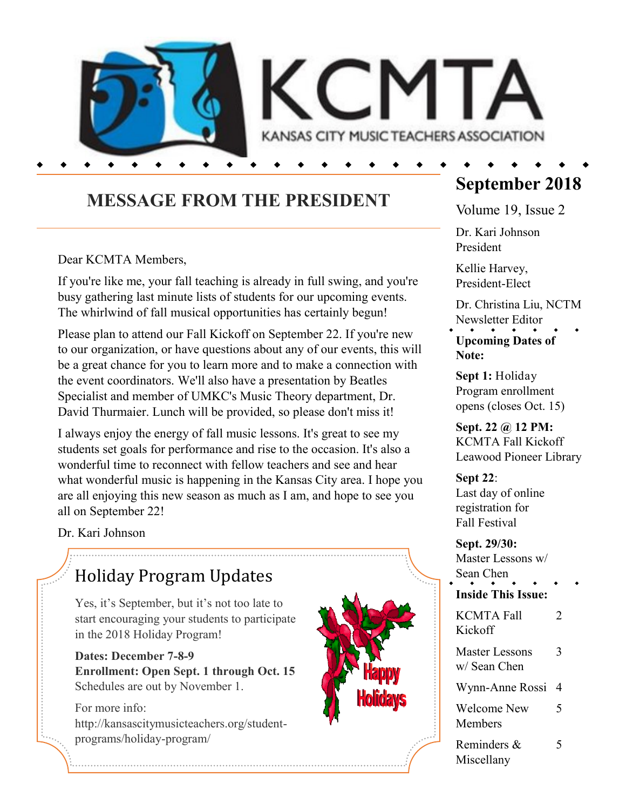

## **MESSAGE FROM THE PRESIDENT**

Dear KCMTA Members,

If you're like me, your fall teaching is already in full swing, and you're busy gathering last minute lists of students for our upcoming events. The whirlwind of fall musical opportunities has certainly begun!

Please plan to attend our Fall Kickoff on September 22. If you're new to our organization, or have questions about any of our events, this will be a great chance for you to learn more and to make a connection with the event coordinators. We'll also have a presentation by Beatles Specialist and member of UMKC's Music Theory department, Dr. David Thurmaier. Lunch will be provided, so please don't miss it!

I always enjoy the energy of fall music lessons. It's great to see my students set goals for performance and rise to the occasion. It's also a wonderful time to reconnect with fellow teachers and see and hear what wonderful music is happening in the Kansas City area. I hope you are all enjoying this new season as much as I am, and hope to see you all on September 22!

Dr. Kari Johnson

# Holiday Program Updates

Yes, it's September, but it's not too late to start encouraging your students to participate in the 2018 Holiday Program!

**Dates: December 7-8-9 Enrollment: Open Sept. 1 through Oct. 15** Schedules are out by November 1.

For more info: http://kansascitymusicteachers.org/studentprograms/holiday-program/



# **September 2018**

Volume 19, Issue 2

Dr. Kari Johnson President

Kellie Harvey, President-Elect

Dr. Christina Liu, NCTM Newsletter Editor

**Upcoming Dates of Note:**

**Sept 1:** Holiday Program enrollment opens (closes Oct. 15)

**Sept. 22 @ 12 PM:** KCMTA Fall Kickoff Leawood Pioneer Library

**Sept 22**: Last day of online registration for Fall Festival

**Sept. 29/30:** Master Lessons w/ Sean Chen

**Inside This Issue:**

KCMTA Fall 2 Kickoff Master Lessons 3 w/ Sean Chen Wynn-Anne Rossi 4 Welcome New 5 Members

Reminders & 5 Miscellany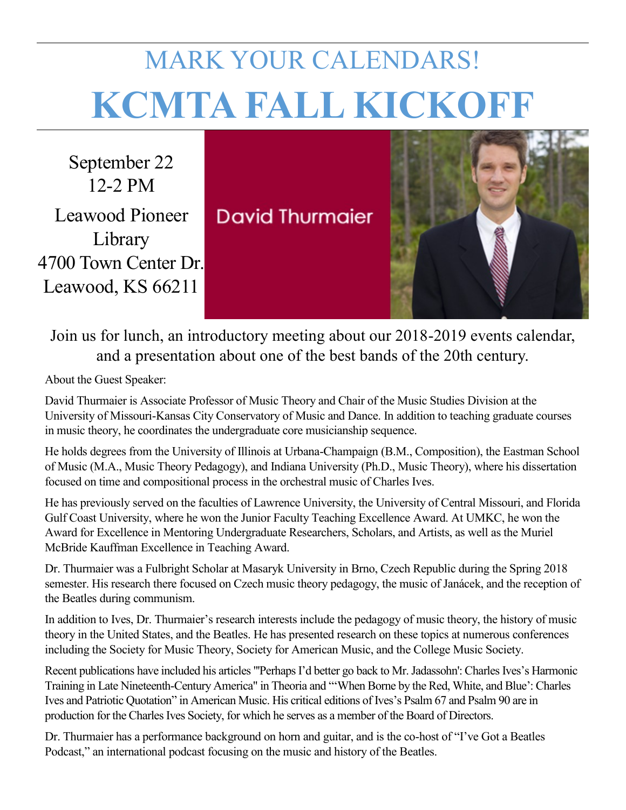# MARK YOUR CALENDARS! **KCMTA FALL KICKOFF**

September 22 12-2 PM Leawood Pioneer Library 4700 Town Center Dr. Leawood, KS 66211

**David Thurmaier** 



Join us for lunch, an introductory meeting about our 2018-2019 events calendar, and a presentation about one of the best bands of the 20th century.

About the Guest Speaker:

David Thurmaier is Associate Professor of Music Theory and Chair of the Music Studies Division at the University of Missouri-Kansas City Conservatory of Music and Dance. In addition to teaching graduate courses in music theory, he coordinates the undergraduate core musicianship sequence.

He holds degrees from the University of Illinois at Urbana-Champaign (B.M., Composition), the Eastman School of Music (M.A., Music Theory Pedagogy), and Indiana University (Ph.D., Music Theory), where his dissertation focused on time and compositional process in the orchestral music of Charles Ives.

He has previously served on the faculties of Lawrence University, the University of Central Missouri, and Florida Gulf Coast University, where he won the Junior Faculty Teaching Excellence Award. At UMKC, he won the Award for Excellence in Mentoring Undergraduate Researchers, Scholars, and Artists, as well as the Muriel McBride Kauffman Excellence in Teaching Award.

Dr. Thurmaier was a Fulbright Scholar at Masaryk University in Brno, Czech Republic during the Spring 2018 semester. His research there focused on Czech music theory pedagogy, the music of Janácek, and the reception of the Beatles during communism.

In addition to Ives, Dr. Thurmaier's research interests include the pedagogy of music theory, the history of music theory in the United States, and the Beatles. He has presented research on these topics at numerous conferences including the Society for Music Theory, Society for American Music, and the College Music Society.

Recent publications have included his articles "'Perhaps I'd better go back to Mr. Jadassohn': Charles Ives's Harmonic Training in Late Nineteenth-Century America" in Theoria and "'When Borne by the Red, White, and Blue': Charles Ives and Patriotic Quotation" in American Music. His critical editions of Ives's Psalm 67 and Psalm 90 are in production for the Charles Ives Society, for which he serves as a member of the Board of Directors.

Dr. Thurmaier has a performance background on horn and guitar, and is the co-host of "I've Got a Beatles Podcast," an international podcast focusing on the music and history of the Beatles.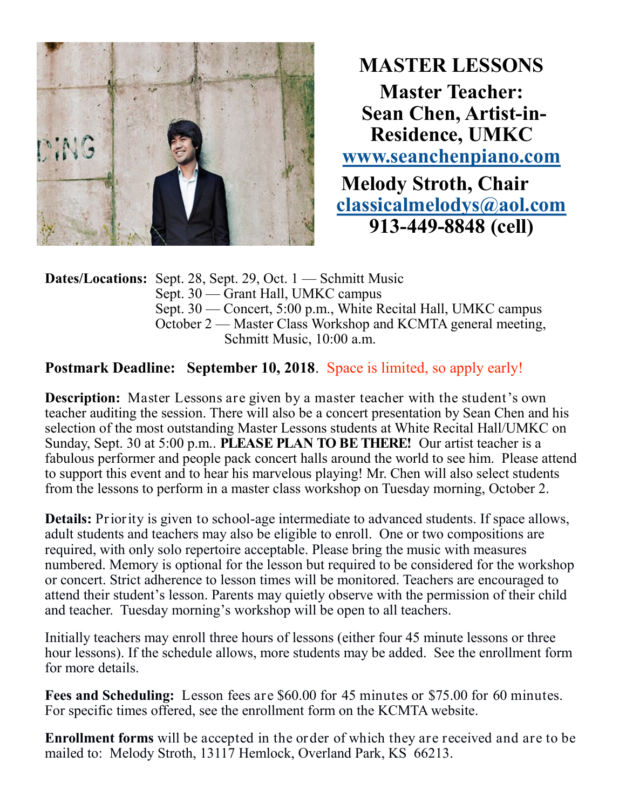

**MASTER LESSONS Master Teacher: Sean Chen, Artist-in-Residence, UMKC [www.seanchenpiano.com](http://www.seanchenpiano.com)  Melody Stroth, Chair [classicalmelodys@aol.com](mailto:classicalmelodys@aol.com)  913-449-8848 (cell)**

**Dates/Locations:** Sept. 28, Sept. 29, Oct. 1 — Schmitt Music Sept. 30 — Grant Hall, UMKC campus Sept. 30 — Concert, 5:00 p.m., White Recital Hall, UMKC campus October 2 — Master Class Workshop and KCMTA general meeting, Schmitt Music, 10:00 a.m.

#### **Postmark Deadline:** September 10, 2018. Space is limited, so apply early!

**Description:** Master Lessons are given by a master teacher with the student's own teacher auditing the session. There will also be a concert presentation by Sean Chen and his selection of the most outstanding Master Lessons students at White Recital Hall/UMKC on Sunday, Sept. 30 at 5:00 p.m.. **PLEASE PLAN TO BE THERE!** Our artist teacher is a fabulous performer and people pack concert halls around the world to see him. Please attend to support this event and to hear his marvelous playing! Mr. Chen will also select students from the lessons to perform in a master class workshop on Tuesday morning, October 2.

**Details:** Priority is given to school-age intermediate to advanced students. If space allows, adult students and teachers may also be eligible to enroll. One or two compositions are required, with only solo repertoire acceptable. Please bring the music with measures numbered. Memory is optional for the lesson but required to be considered for the workshop or concert. Strict adherence to lesson times will be monitored. Teachers are encouraged to attend their student's lesson. Parents may quietly observe with the permission of their child and teacher. Tuesday morning's workshop will be open to all teachers.

Initially teachers may enroll three hours of lessons (either four 45 minute lessons or three hour lessons). If the schedule allows, more students may be added. See the enrollment form for more details.

**Fees and Scheduling:** Lesson fees are \$60.00 for 45 minutes or \$75.00 for 60 minutes. For specific times offered, see the enrollment form on the KCMTA website.

**Enrollment forms** will be accepted in the order of which they are received and are to be mailed to: Melody Stroth, 13117 Hemlock, Overland Park, KS 66213.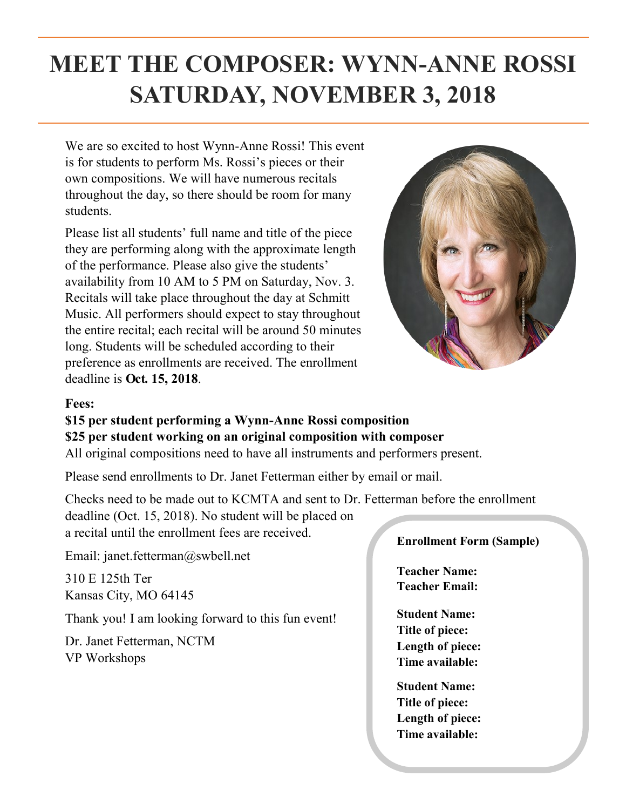# **MEET THE COMPOSER: WYNN-ANNE ROSSI SATURDAY, NOVEMBER 3, 2018**

We are so excited to host Wynn-Anne Rossi! This event is for students to perform Ms. Rossi's pieces or their own compositions. We will have numerous recitals throughout the day, so there should be room for many students.

Please list all students' full name and title of the piece they are performing along with the approximate length of the performance. Please also give the students' availability from 10 AM to 5 PM on Saturday, Nov. 3. Recitals will take place throughout the day at Schmitt Music. All performers should expect to stay throughout the entire recital; each recital will be around 50 minutes long. Students will be scheduled according to their preference as enrollments are received. The enrollment deadline is **Oct. 15, 2018**.



#### **Fees:**

#### **\$15 per student performing a Wynn-Anne Rossi composition**

#### **\$25 per student working on an original composition with composer**

All original compositions need to have all instruments and performers present.

Please send enrollments to Dr. Janet Fetterman either by email or mail.

Checks need to be made out to KCMTA and sent to Dr. Fetterman before the enrollment deadline (Oct. 15, 2018). No student will be placed on a recital until the enrollment fees are received.

Email: janet.fetterman@swbell.net

310 E 125th Ter Kansas City, MO 64145

Thank you! I am looking forward to this fun event!

Dr. Janet Fetterman, NCTM VP Workshops

#### **Enrollment Form (Sample)**

**Teacher Name: Teacher Email:**

**Student Name: Title of piece: Length of piece: Time available:**

**Student Name: Title of piece: Length of piece: Time available:**